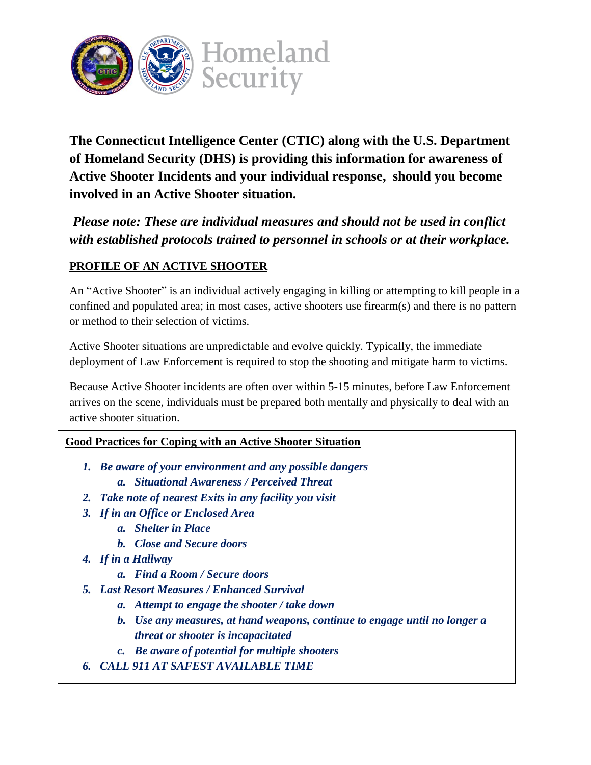

**The Connecticut Intelligence Center (CTIC) along with the U.S. Department of Homeland Security (DHS) is providing this information for awareness of Active Shooter Incidents and your individual response, should you become involved in an Active Shooter situation.**

*Please note: These are individual measures and should not be used in conflict with established protocols trained to personnel in schools or at their workplace.*

# **PROFILE OF AN ACTIVE SHOOTER**

An "Active Shooter" is an individual actively engaging in killing or attempting to kill people in a confined and populated area; in most cases, active shooters use firearm(s) and there is no pattern or method to their selection of victims.

Active Shooter situations are unpredictable and evolve quickly. Typically, the immediate deployment of Law Enforcement is required to stop the shooting and mitigate harm to victims.

Because Active Shooter incidents are often over within 5-15 minutes, before Law Enforcement arrives on the scene, individuals must be prepared both mentally and physically to deal with an active shooter situation.

#### **Good Practices for Coping with an Active Shooter Situation**

- *1. Be aware of your environment and any possible dangers*
	- *a. Situational Awareness / Perceived Threat*
- *2. Take note of nearest Exits in any facility you visit*
- *3. If in an Office or Enclosed Area*
	- *a. Shelter in Place*
	- *b. Close and Secure doors*
- *4. If in a Hallway*
	- *a. Find a Room / Secure doors*
- *5. Last Resort Measures / Enhanced Survival* 
	- *a. Attempt to engage the shooter / take down*
	- *b. Use any measures, at hand weapons, continue to engage until no longer a threat or shooter is incapacitated*
	- *c. Be aware of potential for multiple shooters*
- **6.** *CALL 911 AT SAFEST AVAILABLE TIME*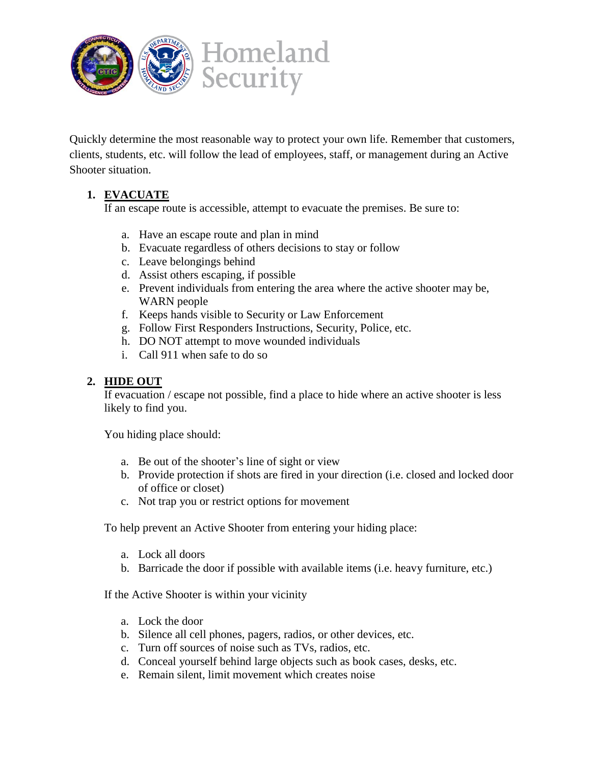

Quickly determine the most reasonable way to protect your own life. Remember that customers, clients, students, etc. will follow the lead of employees, staff, or management during an Active Shooter situation.

## **1. EVACUATE**

If an escape route is accessible, attempt to evacuate the premises. Be sure to:

- a. Have an escape route and plan in mind
- b. Evacuate regardless of others decisions to stay or follow
- c. Leave belongings behind
- d. Assist others escaping, if possible
- e. Prevent individuals from entering the area where the active shooter may be, WARN people
- f. Keeps hands visible to Security or Law Enforcement
- g. Follow First Responders Instructions, Security, Police, etc.
- h. DO NOT attempt to move wounded individuals
- i. Call 911 when safe to do so

#### **2. HIDE OUT**

If evacuation / escape not possible, find a place to hide where an active shooter is less likely to find you.

You hiding place should:

- a. Be out of the shooter's line of sight or view
- b. Provide protection if shots are fired in your direction (i.e. closed and locked door of office or closet)
- c. Not trap you or restrict options for movement

To help prevent an Active Shooter from entering your hiding place:

- a. Lock all doors
- b. Barricade the door if possible with available items (i.e. heavy furniture, etc.)

If the Active Shooter is within your vicinity

- a. Lock the door
- b. Silence all cell phones, pagers, radios, or other devices, etc.
- c. Turn off sources of noise such as TVs, radios, etc.
- d. Conceal yourself behind large objects such as book cases, desks, etc.
- e. Remain silent, limit movement which creates noise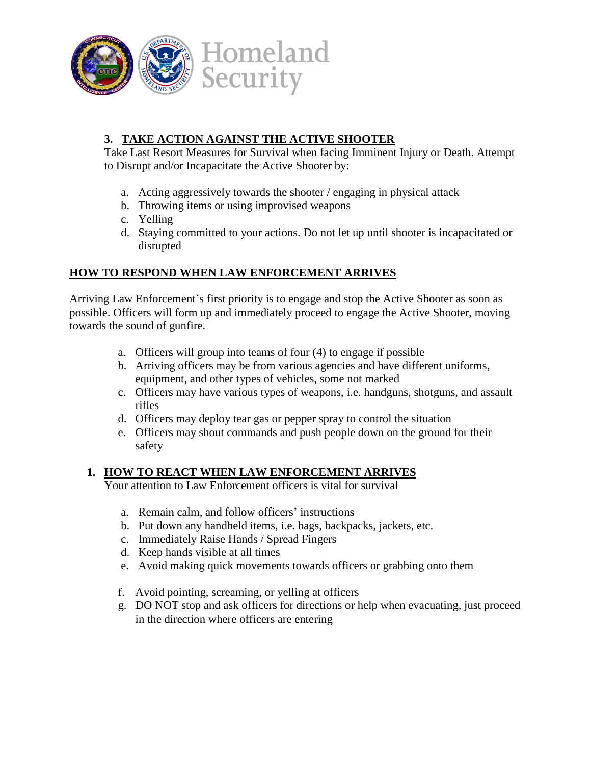

# **3. TAKE ACTION AGAINST THE ACTIVE SHOOTER**

Take Last Resort Measures for Survival when facing Imminent Injury or Death. Attempt to Disrupt and/or Incapacitate the Active Shooter by:

- a. Acting aggressively towards the shooter / engaging in physical attack
- b. Throwing items or using improvised weapons
- c. Yelling
- d. Staying committed to your actions. Do not let up until shooter is incapacitated or disrupted

### **HOW TO RESPOND WHEN LAW ENFORCEMENT ARRIVES**

Arriving Law Enforcement's first priority is to engage and stop the Active Shooter as soon as possible. Officers will form up and immediately proceed to engage the Active Shooter, moving towards the sound of gunfire.

- a. Officers will group into teams of four (4) to engage if possible
- b. Arriving officers may be from various agencies and have different uniforms, equipment, and other types of vehicles, some not marked
- c. Officers may have various types of weapons, i.e. handguns, shotguns, and assault rifles
- d. Officers may deploy tear gas or pepper spray to control the situation
- e. Officers may shout commands and push people down on the ground for their safety

### **1. HOW TO REACT WHEN LAW ENFORCEMENT ARRIVES**

Your attention to Law Enforcement officers is vital for survival

- a. Remain calm, and follow officers' instructions
- b. Put down any handheld items, i.e. bags, backpacks, jackets, etc.
- c. Immediately Raise Hands / Spread Fingers
- d. Keep hands visible at all times
- e. Avoid making quick movements towards officers or grabbing onto them
- f. Avoid pointing, screaming, or yelling at officers
- g. DO NOT stop and ask officers for directions or help when evacuating, just proceed in the direction where officers are entering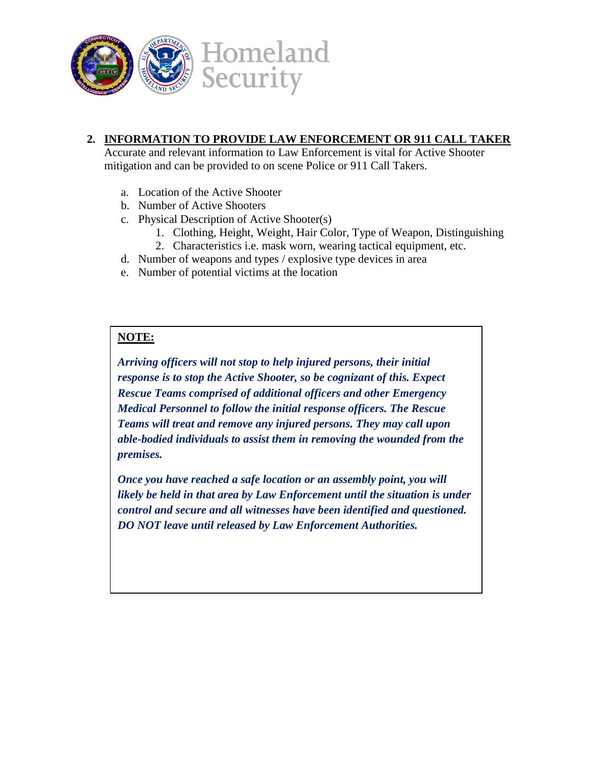

#### **2. INFORMATION TO PROVIDE LAW ENFORCEMENT OR 911 CALL TAKER**

Accurate and relevant information to Law Enforcement is vital for Active Shooter mitigation and can be provided to on scene Police or 911 Call Takers.

- a. Location of the Active Shooter
- b. Number of Active Shooters
- c. Physical Description of Active Shooter(s)
	- 1. Clothing, Height, Weight, Hair Color, Type of Weapon, Distinguishing
	- 2. Characteristics i.e. mask worn, wearing tactical equipment, etc.
- d. Number of weapons and types / explosive type devices in area
- e. Number of potential victims at the location

#### **NOTE:**

*Arriving officers will not stop to help injured persons, their initial response is to stop the Active Shooter, so be cognizant of this. Expect Rescue Teams comprised of additional officers and other Emergency Medical Personnel to follow the initial response officers. The Rescue Teams will treat and remove any injured persons. They may call upon able-bodied individuals to assist them in removing the wounded from the premises.*

*Once you have reached a safe location or an assembly point, you will likely be held in that area by Law Enforcement until the situation is under control and secure and all witnesses have been identified and questioned. DO NOT leave until released by Law Enforcement Authorities.*